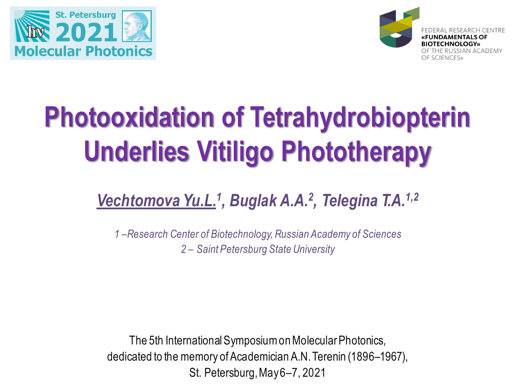



# **Photooxidation of Tetrahydrobiopterin Underlies Vitiligo Phototherapy**

## *Vechtomova Yu.L.<sup>1</sup> , Buglak A.A.<sup>2</sup> , Telegina T.A.1,2*

*1 –Research Center of Biotechnology, Russian Academy of Sciences 2 – Saint Petersburg State University*

The 5th International Symposium on Molecular Photonics, dedicated to the memory of Academician A.N. Terenin (1896–1967), St. Petersburg, May 6–7, 2021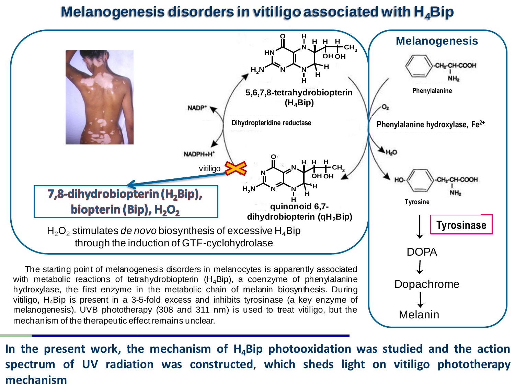#### **Melanogenesis disorders in vitiligo associated with Н4Bip**



**In the present work, the mechanism of H4Bip photooxidation was studied and the action spectrum of UV radiation was constructed**, **which sheds light on vitiligo phototherapy mechanism**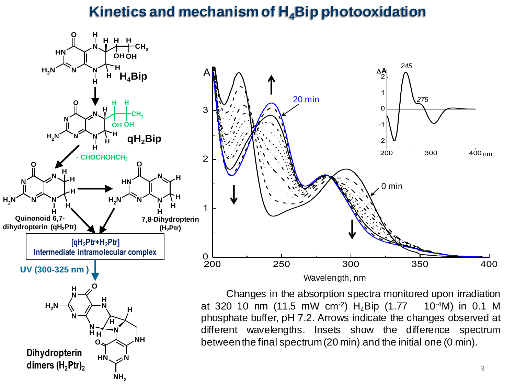### **Kinetics and mechanism of Н4Bip photooxidation**



**N H H**

**HN N**

**O**

**N**

**H**

**NH**<sub>2</sub>

**NH**

**H**

**N**

**Dihydropterin dimers (H2Ptr)<sup>2</sup>** at 320 10 nm (11.5 mW cm<sup>-2</sup>)  $H_4$ Bip (1.77  $10^{-4}$ M) in 0.1 M phosphate buffer, pH 7.2. Arrows indicate the changes observed at different wavelengths. Insets show the difference spectrum betweenthe final spectrum(20 min) and the initial one (0 min).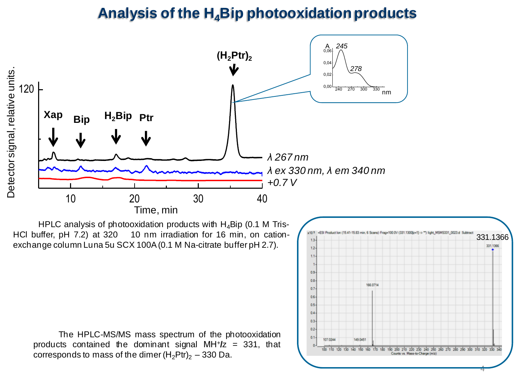#### **Analysis of the H4Bip photooxidation products**



HPLC analysis of photooxidation products with  $H_4$ Bip (0.1 M Tris-HCl buffer, pH 7.2) at 320 10 nm irradiation for 16 min, on cationexchange column Luna 5u SCX 100A(0.1 M Na-citrate buffer pH 2.7).

The HPLC-MS/MS mass spectrum of the photooxidation products contained the dominant signal МН<sup>+</sup> **/**z = 331, that corresponds to mass of the dimer  $(H_2Ptr)_2 - 330$  Da.

|                     |                                                                                                     | 331,1366 |
|---------------------|-----------------------------------------------------------------------------------------------------|----------|
| $12 -$              |                                                                                                     |          |
| 1.1-                |                                                                                                     |          |
| 1.                  |                                                                                                     |          |
| $0.9 -$             |                                                                                                     |          |
| $0.8 -$             |                                                                                                     |          |
| $0.7 -$             | 166,0714                                                                                            |          |
| $0.6 -$             |                                                                                                     |          |
| $0.5 -$             |                                                                                                     |          |
| $0.4 -$             |                                                                                                     |          |
| $0.3 -$             |                                                                                                     |          |
| $0.2 -$             |                                                                                                     |          |
| $0.1 -$<br>107.0244 | 149.0451                                                                                            |          |
| ō.                  | 100 110 120 130 140 150 160 170 180 190 200 210 220 230 240 250 250 270 280 290 300 310 320 330 340 |          |